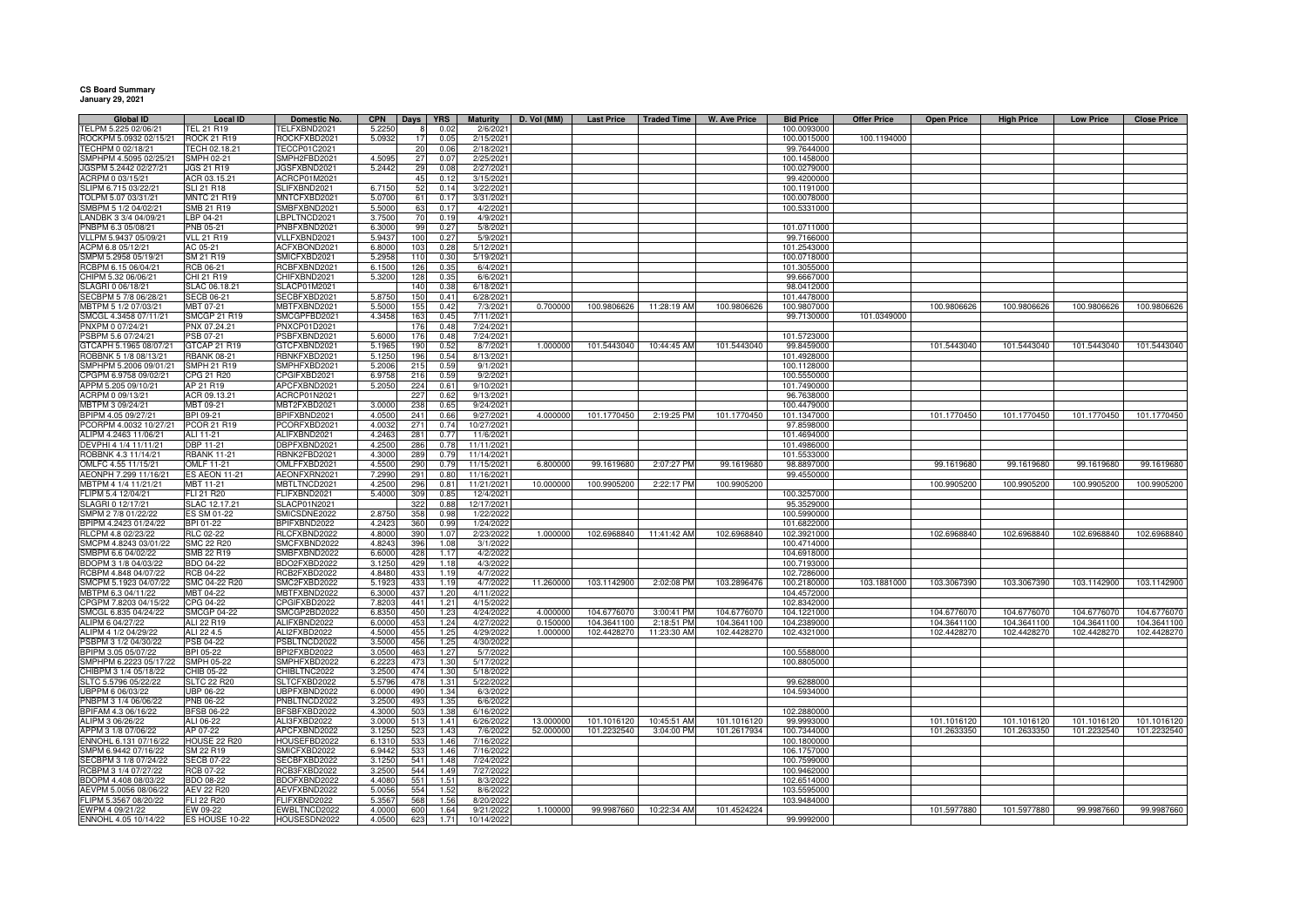## **CS Board Summary January 29, 2021**

| Global ID                                       | <b>Local ID</b>                          | Domestic No.                 | <b>CPN</b>       | Days       | <b>YRS</b>   | Maturity                 | D. Vol (MM) | <b>Last Price</b> | <b>Traded Time</b> | <b>W. Ave Price</b> | <b>Bid Price</b>           | <b>Offer Price</b> | <b>Open Price</b> | <b>High Price</b> | <b>Low Price</b> | <b>Close Price</b> |
|-------------------------------------------------|------------------------------------------|------------------------------|------------------|------------|--------------|--------------------------|-------------|-------------------|--------------------|---------------------|----------------------------|--------------------|-------------------|-------------------|------------------|--------------------|
| TELPM 5.225 02/06/21<br>ROCKPM 5.0932 02/15/21  | TEL 21 R19<br><b>ROCK 21 R19</b>         | TELFXBND2021<br>ROCKFXBD2021 | 5.2250<br>5.0932 | 8<br>17    | 0.02<br>0.05 | 2/6/2021<br>2/15/2021    |             |                   |                    |                     | 100.0093000<br>100.0015000 | 100.1194000        |                   |                   |                  |                    |
| TECHPM 0 02/18/21                               | FECH 02.18.21                            | TECCP01C2021                 |                  | 20         | 0.06         | 2/18/2021                |             |                   |                    |                     | 99.7644000                 |                    |                   |                   |                  |                    |
| SMPHPM 4.5095 02/25/21                          | SMPH 02-21                               | SMPH2FBD2021                 | 4.5095           | 27         | 0.07         | 2/25/2021                |             |                   |                    |                     | 100.1458000                |                    |                   |                   |                  |                    |
| JGSPM 5.2442 02/27/21                           | <b>JGS 21 R19</b>                        | JGSFXBND2021                 | 5.2442           | 29         | 0.08         | 2/27/2021                |             |                   |                    |                     | 100.0279000                |                    |                   |                   |                  |                    |
| ACRPM 0 03/15/21                                | ACR 03.15.21                             | ACRCP01M2021                 |                  | 45         | 0.12         | 3/15/2021                |             |                   |                    |                     | 99.4200000                 |                    |                   |                   |                  |                    |
| SLIPM 6.715 03/22/2                             | <b>SLI 21 R18</b>                        | SLIFXBND2021                 | 6.7150           | 52         | 0.14         | 3/22/2021                |             |                   |                    |                     | 100.1191000                |                    |                   |                   |                  |                    |
| TOLPM 5.07 03/31/21                             | <b>MNTC 21 R19</b>                       | MNTCFXBD2021                 | 5.070            | 61         | 0.17         | 3/31/2021                |             |                   |                    |                     | 100.0078000                |                    |                   |                   |                  |                    |
| SMBPM 5 1/2 04/02/21                            | SMB 21 R19                               | SMBFXBND2021                 | 5.500            | 63         | 0.17         | 4/2/2021                 |             |                   |                    |                     | 100.5331000                |                    |                   |                   |                  |                    |
| LANDBK 3 3/4 04/09/21                           | LBP 04-21                                | LBPLTNCD2021                 | 3.750            | 70         | 0.19         | 4/9/2021                 |             |                   |                    |                     |                            |                    |                   |                   |                  |                    |
| PNBPM 6.3 05/08/21                              | PNB 05-21                                | PNBFXBND2021                 | 6.3000           | 99         | 0.27         | 5/8/2021                 |             |                   |                    |                     | 101.0711000                |                    |                   |                   |                  |                    |
| VLLPM 5.9437 05/09/21<br>ACPM 6.8 05/12/21      | <b>VLL 21 R19</b><br>AC 05-21            | VLLFXBND2021<br>ACFXBOND2021 | 5.9437<br>6.8000 | 100<br>103 | 0.27<br>0.28 | 5/9/2021<br>5/12/2021    |             |                   |                    |                     | 99.7166000<br>101.2543000  |                    |                   |                   |                  |                    |
| SMPM 5.2958 05/19/21                            | SM 21 R19                                | SMICFXBD2021                 | 5.295            | 110        | 0.30         | 5/19/202                 |             |                   |                    |                     | 100.0718000                |                    |                   |                   |                  |                    |
| RCBPM 6.15 06/04/21                             | RCB 06-21                                | RCBFXBND2021                 | 6.1500           | 126        | 0.35         | 6/4/2021                 |             |                   |                    |                     | 101.3055000                |                    |                   |                   |                  |                    |
| CHIPM 5.32 06/06/21                             | CHI 21 R19                               | CHIFXBND2021                 | 5.3200           | 128        | 0.35         | 6/6/202                  |             |                   |                    |                     | 99.6667000                 |                    |                   |                   |                  |                    |
| SLAGRI 0 06/18/21                               | SLAC 06.18.21                            | SLACP01M2021                 |                  | 140        | 0.38         | 6/18/2021                |             |                   |                    |                     | 98.0412000                 |                    |                   |                   |                  |                    |
| SECBPM 5 7/8 06/28/21                           | <b>SECB 06-21</b>                        | SECBFXBD2021                 | 5.875            | 150        | 0.41         | 6/28/2021                |             |                   |                    |                     | 101.4478000                |                    |                   |                   |                  |                    |
| MBTPM 5 1/2 07/03/21                            | MBT 07-21                                | MBTFXBND2021                 | 5.5000           | 155        | 0.42         | 7/3/2021                 | 0.700000    | 100.9806626       | 11:28:19 AM        | 100.9806626         | 100.9807000                |                    | 100.9806626       | 100.9806626       | 100.9806626      | 100.9806626        |
| SMCGL 4.3458 07/11/21                           | <b>SMCGP 21 R19</b>                      | SMCGPFBD2021                 | 4.3458           | 163        | 0.45         | 7/11/2021                |             |                   |                    |                     | 99.7130000                 | 101.0349000        |                   |                   |                  |                    |
| PNXPM 0 07/24/21                                | PNX 07.24.21                             | PNXCP01D2021                 |                  | 176        | 0.48         | 7/24/2021                |             |                   |                    |                     |                            |                    |                   |                   |                  |                    |
| PSBPM 5.6 07/24/21                              | PSB 07-21                                | PSBFXBND2021                 | 5.600            | 176        | 0.48         | 7/24/2021                |             |                   |                    |                     | 101.5723000                |                    |                   |                   |                  |                    |
| GTCAPH 5.1965 08/07/21                          | GTCAP 21 R19                             | GTCFXBND2021                 | 5.196            | 190        | 0.52         | 8/7/2021                 | 1.000000    | 101.5443040       | 10:44:45 AM        | 101.5443040         | 99.8459000                 |                    | 101.5443040       | 101.5443040       | 101.5443040      | 101.5443040        |
| ROBBNK 5 1/8 08/13/21<br>SMPHPM 5.2006 09/01/21 | <b>RBANK 08-21</b><br><b>SMPH 21 R19</b> | RBNKFXBD2021<br>SMPHFXBD2021 | 5.1250<br>5.2006 | 196<br>215 | 0.54<br>0.59 | 8/13/2021<br>9/1/2021    |             |                   |                    |                     | 101.4928000<br>100.1128000 |                    |                   |                   |                  |                    |
| CPGPM 6.9758 09/02/21                           | CPG 21 R20                               | CPGIFXBD2021                 | 6.975            | 216        | 0.59         | 9/2/2021                 |             |                   |                    |                     | 100.5550000                |                    |                   |                   |                  |                    |
| APPM 5.205 09/10/21                             | AP 21 R19                                | APCFXBND2021                 | 5.205            | 224        | 0.61         | 9/10/2021                |             |                   |                    |                     | 101.7490000                |                    |                   |                   |                  |                    |
| ACRPM 0 09/13/21                                | ACR 09.13.21                             | ACRCP01N2021                 |                  | 227        | 0.62         | 9/13/2021                |             |                   |                    |                     | 96.7638000                 |                    |                   |                   |                  |                    |
| MBTPM 3 09/24/21                                | MBT 09-21                                | MBT2FXBD2021                 | 3.0000           | 238        | 0.65         | 9/24/202                 |             |                   |                    |                     | 100.4479000                |                    |                   |                   |                  |                    |
| BPIPM 4.05 09/27/21                             | BPI 09-21                                | BPIFXBND2021                 | 4.0500           | 241        | 0.66         | 9/27/2021                | 4.000000    | 101.1770450       | 2:19:25 PM         | 101.1770450         | 101.1347000                |                    | 101.1770450       | 101.1770450       | 101.1770450      | 101.1770450        |
| PCORPM 4.0032 10/27/21                          | <b>PCOR 21 R19</b>                       | PCORFXBD2021                 | 4.0032           | 271        | 0.74         | 10/27/2021               |             |                   |                    |                     | 97.8598000                 |                    |                   |                   |                  |                    |
| ALIPM 4.2463 11/06/21                           | ALI 11-21                                | ALIFXBND2021                 | 4.246            | 281        | 0.77         | 11/6/2021                |             |                   |                    |                     | 101.4694000                |                    |                   |                   |                  |                    |
| DEVPHI 4 1/4 11/11/21                           | DBP 11-21                                | DBPFXBND2021                 | 4.250            | 286        | 0.78         | 11/11/2021               |             |                   |                    |                     | 101.4986000                |                    |                   |                   |                  |                    |
| ROBBNK 4.3 11/14/21                             | <b>RBANK 11-21</b>                       | RBNK2FBD2021                 | 4.300            | <b>289</b> | 0.79         | 11/14/2021               |             |                   |                    |                     | 101.5533000                |                    |                   |                   |                  |                    |
| OMLFC 4.55 11/15/21                             | <b>OMLF 11-21</b>                        | OMLFFXBD2021                 | 4.550            | 290        | 0.79         | 11/15/2021               | 6.80000     | 99.1619680        | 2:07:27 PM         | 99.1619680          | 98.8897000                 |                    | 99.1619680        | 99.1619680        | 99.1619680       | 99.1619680         |
| AEONPH 7.299 11/16/21<br>MBTPM 4 1/4 11/21/21   | <b>ES AEON 11-21</b><br>MBT 11-21        | AEONFXRN2021<br>MBTLTNCD2021 | 7.2990<br>4.2500 | 291<br>296 | 0.80<br>0.81 | 11/16/2021<br>11/21/2021 | 10.00000    | 100.9905200       | 2:22:17 PM         | 100.9905200         | 99.4550000                 |                    | 100.9905200       | 100.9905200       | 100.9905200      | 100.9905200        |
| FLIPM 5.4 12/04/21                              | FLI 21 R20                               | FLIFXBND2021                 | 5.4000           | 309        | 0.85         | 12/4/2021                |             |                   |                    |                     | 100.3257000                |                    |                   |                   |                  |                    |
| SLAGRI 0 12/17/21                               | SLAC 12.17.21                            | SLACP01N2021                 |                  | 32         | 0.88         | 12/17/2021               |             |                   |                    |                     | 95.3529000                 |                    |                   |                   |                  |                    |
| SMPM 2 7/8 01/22/22                             | ES SM 01-22                              | SMICSDNE2022                 | 2.875            | 358        | 0.98         | 1/22/2022                |             |                   |                    |                     | 100.5990000                |                    |                   |                   |                  |                    |
| BPIPM 4.2423 01/24/22                           | BPI 01-22                                | BPIFXBND2022                 | 4.242            | 360        | 0.99         | 1/24/2022                |             |                   |                    |                     | 101.6822000                |                    |                   |                   |                  |                    |
| RLCPM 4.8 02/23/22                              | <b>RLC 02-22</b>                         | RLCFXBND2022                 | 4.8000           | 390        | 1.07         | 2/23/2022                | 1.000000    | 102.6968840       | 11:41:42 AM        | 102.6968840         | 102.3921000                |                    | 102.6968840       | 102.6968840       | 102.6968840      | 102.6968840        |
| SMCPM 4.8243 03/01/22                           | <b>SMC 22 R20</b>                        | SMCFXBND2022                 | 4.824            | 396        | 1.08         | 3/1/2022                 |             |                   |                    |                     | 100.4714000                |                    |                   |                   |                  |                    |
| SMBPM 6.6 04/02/22                              | SMB 22 R19                               | SMBFXBND2022                 | 6.6000           | 428        | 1.17         | 4/2/2022                 |             |                   |                    |                     | 104.6918000                |                    |                   |                   |                  |                    |
| BDOPM 3 1/8 04/03/22                            | BDO 04-22                                | BDO2FXBD2022                 | 3.125            | 429        | 1.18         | 4/3/2022                 |             |                   |                    |                     | 100.7193000                |                    |                   |                   |                  |                    |
| RCBPM 4.848 04/07/22                            | <b>RCB 04-22</b>                         | RCB2FXBD2022                 | 4.848            | 433        | 1.19         | 4/7/2022                 |             |                   |                    |                     | 102.7286000                |                    |                   |                   |                  |                    |
| SMCPM 5.1923 04/07/22<br>MBTPM 6.3 04/11/22     | SMC 04-22 R20<br>MBT 04-22               | SMC2FXBD2022<br>MBTFXBND2022 | 5.192<br>6.300   | 433<br>437 | 1.19<br>1.20 | 4/7/2022<br>4/11/2022    | 11.26000    | 103.1142900       | 2:02:08 PM         | 103.2896476         | 100.2180000<br>104.4572000 | 103.1881000        | 103.3067390       | 103.3067390       | 103.1142900      | 103.1142900        |
| CPGPM 7.8203 04/15/22                           | CPG 04-22                                | CPGIFXBD2022                 | 7.820            | 441        | 1.21         | 4/15/2022                |             |                   |                    |                     | 102.8342000                |                    |                   |                   |                  |                    |
| SMCGL 6.835 04/24/22                            | <b>SMCGP 04-22</b>                       | SMCGP2BD2022                 | 6.8350           | 450        | 1.23         | 4/24/2022                | 4.00000     | 104.6776070       | 3:00:41 PM         | 104.6776070         | 104.1221000                |                    | 104.6776070       | 104.6776070       | 104.6776070      | 104.6776070        |
| ALIPM 6 04/27/22                                | ALI 22 R19                               | ALIFXBND2022                 | 6.0000           | 453        | 1.24         | 4/27/2022                | 0.15000     | 104.3641100       | 2:18:51 PM         | 104.3641100         | 104.2389000                |                    | 104.3641100       | 104.3641100       | 104.3641100      | 104.3641100        |
| ALIPM 4 1/2 04/29/22                            | ALI 22 4.5                               | ALI2FXBD2022                 | 4.5000           | 455        | 1.25         | 4/29/2022                | 1.00000     | 102.4428270       | 11:23:30 AM        | 102.4428270         | 102.4321000                |                    | 102.4428270       | 102.4428270       | 102.4428270      | 102.4428270        |
| PSBPM 3 1/2 04/30/22                            | PSB 04-22                                | PSBLTNCD2022                 | 3.5000           | 456        | 1.25         | 4/30/2022                |             |                   |                    |                     |                            |                    |                   |                   |                  |                    |
| BPIPM 3.05 05/07/22                             | BPI 05-22                                | BPI2FXBD2022                 | 3.0500           | 463        | 1.27         | 5/7/2022                 |             |                   |                    |                     | 100.5588000                |                    |                   |                   |                  |                    |
| SMPHPM 6.2223 05/17/22                          | <b>SMPH 05-22</b>                        | SMPHFXBD2022                 | 6.222            | 473        | 1.30         | 5/17/2022                |             |                   |                    |                     | 100.8805000                |                    |                   |                   |                  |                    |
| CHIBPM 3 1/4 05/18/22                           | CHIB 05-22                               | CHIBLTNC2022                 | 3.2500           | 474        | 1.30         | 5/18/2022                |             |                   |                    |                     |                            |                    |                   |                   |                  |                    |
| SLTC 5.5796 05/22/22<br>UBPPM 6 06/03/22        | <b>SLTC 22 R20</b><br><b>UBP 06-22</b>   | SLTCFXBD2022<br>UBPFXBND2022 | 5.579<br>6.000   | 478<br>490 | 1.31<br>1.34 | 5/22/2022<br>6/3/2022    |             |                   |                    |                     | 99.6288000<br>104.5934000  |                    |                   |                   |                  |                    |
| PNBPM 3 1/4 06/06/22                            | PNB 06-22                                | PNBLTNCD2022                 | 3.250            | 493        | 1.35         | 6/6/2022                 |             |                   |                    |                     |                            |                    |                   |                   |                  |                    |
| BPIFAM 4.3 06/16/22                             | <b>BFSB 06-22</b>                        | BFSBFXBD2022                 | 4.3000           | 503        | 1.38         | 6/16/2022                |             |                   |                    |                     | 102.2880000                |                    |                   |                   |                  |                    |
| ALIPM 3 06/26/22                                | ALI 06-22                                | ALI3FXBD2022                 | 3.0000           | 513        | 1.41         | 6/26/2022                | 13.000000   | 101.1016120       | 10:45:51 AM        | 101.1016120         | 99.9993000                 |                    | 101.1016120       | 101.1016120       | 101.1016120      | 101.1016120        |
| APPM 3 1/8 07/06/22                             | AP 07-22                                 | APCFXBND2022                 | 3.1250           | 52         | 1.43         | 7/6/202                  | 52.00000    | 101.2232540       | 3:04:00 PM         | 101.2617934         | 100.7344000                |                    | 101.2633350       | 101.2633350       | 101.2232540      | 101.2232540        |
| ENNOHL 6.131 07/16/22                           | <b>HOUSE 22 R20</b>                      | HOUSEFBD2022                 | 6.131            | 533        | 1.46         | 7/16/2022                |             |                   |                    |                     | 100.1800000                |                    |                   |                   |                  |                    |
| SMPM 6.9442 07/16/22                            | SM 22 R19                                | SMICFXBD2022                 | 6.944            | 533        | 1.46         | 7/16/2022                |             |                   |                    |                     | 106.1757000                |                    |                   |                   |                  |                    |
| SECBPM 3 1/8 07/24/22                           | <b>SECB 07-22</b>                        | SECBFXBD2022                 | 3.125            | 541        | 1.48         | 7/24/2022                |             |                   |                    |                     | 100.7599000                |                    |                   |                   |                  |                    |
| RCBPM 3 1/4 07/27/22                            | <b>RCB 07-22</b>                         | RCB3FXBD2022                 | 3.2500           | 544        | 1.49         | 7/27/2022                |             |                   |                    |                     | 100.9462000                |                    |                   |                   |                  |                    |
| BDOPM 4.408 08/03/22                            | BDO 08-22                                | BDOFXBND2022                 | 4.4080           | 551        | 1.51         | 8/3/2022                 |             |                   |                    |                     | 102.6514000                |                    |                   |                   |                  |                    |
| AEVPM 5.0056 08/06/22                           | AEV 22 R20                               | AEVFXBND2022                 | 5.005            | 554        | 1.52         | 8/6/2022                 |             |                   |                    |                     | 103.5595000                |                    |                   |                   |                  |                    |
| FLIPM 5.3567 08/20/22<br>EWPM 4 09/21/22        | FLI 22 R20<br>EW 09-22                   | FLIFXBND2022<br>EWBLTNCD2022 | 5.356<br>4.000   | 568<br>600 | 1.56<br>1.64 | 8/20/2022<br>9/21/2022   | 1.100000    | 99.9987660        | 10:22:34 AM        | 101.4524224         | 103.9484000                |                    | 101.5977880       | 101.5977880       | 99.9987660       | 99.9987660         |
| ENNOHL 4.05 10/14/22                            | ES HOUSE 10-22                           | HOUSESDN2022                 | 4.0500           | 623        | 1.71         | 10/14/2022               |             |                   |                    |                     | 99.9992000                 |                    |                   |                   |                  |                    |
|                                                 |                                          |                              |                  |            |              |                          |             |                   |                    |                     |                            |                    |                   |                   |                  |                    |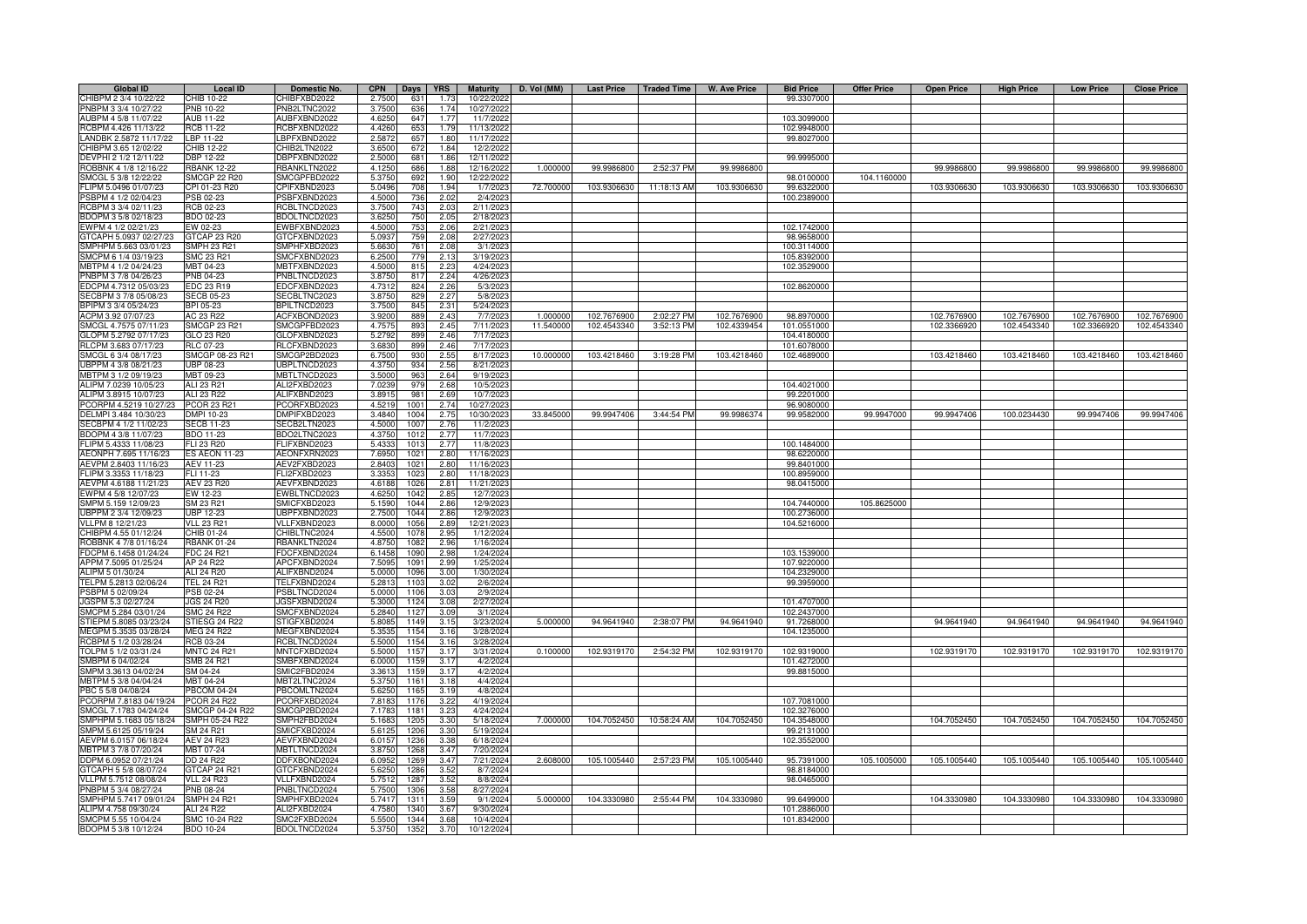| <b>Global ID</b>       | <b>Local ID</b>     | Domestic No.        | <b>CPN</b>       | Days    | <b>YRS</b> | <b>Maturity</b>     | D. Vol (MM) | <b>Last Price</b> | <b>Traded Time</b> | <b>W. Ave Price</b> | <b>Bid Price</b> | <b>Offer Price</b> | <b>Open Price</b> | <b>High Price</b> | <b>Low Price</b> | <b>Close Price</b> |
|------------------------|---------------------|---------------------|------------------|---------|------------|---------------------|-------------|-------------------|--------------------|---------------------|------------------|--------------------|-------------------|-------------------|------------------|--------------------|
| CHIBPM 2 3/4 10/22/22  | CHIB 10-22          | CHIBFXBD2022        | 2.7500           | 631     | 1.73       | 10/22/2022          |             |                   |                    |                     | 99.3307000       |                    |                   |                   |                  |                    |
| PNBPM 3 3/4 10/27/22   | <b>PNB 10-22</b>    | PNB2LTNC2022        | 3.7500           | 636     | 1.74       | 10/27/2022          |             |                   |                    |                     |                  |                    |                   |                   |                  |                    |
| AUBPM 4 5/8 11/07/22   | AUB 11-22           | AUBFXBND2022        | 4.6250           | 647     | 1.77       | 11/7/2022           |             |                   |                    |                     | 103.3099000      |                    |                   |                   |                  |                    |
| RCBPM 4.426 11/13/22   | RCB 11-22           | RCBFXBND2022        | 4.4260           | 653     | 1.79       | 11/13/2022          |             |                   |                    |                     | 102.9948000      |                    |                   |                   |                  |                    |
| LANDBK 2.5872 11/17/22 | LBP 11-22           | BPFXBND2022         | 2.587            | 657     | 1.80       | 11/17/2022          |             |                   |                    |                     | 99.8027000       |                    |                   |                   |                  |                    |
| CHIBPM 3.65 12/02/22   | CHIB 12-22          | CHIB2LTN2022        | 3.650            | 672     | 1.84       | 12/2/202            |             |                   |                    |                     |                  |                    |                   |                   |                  |                    |
| DEVPHI 2 1/2 12/11/22  | DBP 12-22           | BPFXBND2022         | 2.5000           | 681     | 1.86       | 12/11/202           |             |                   |                    |                     | 99.9995000       |                    |                   |                   |                  |                    |
| ROBBNK 4 1/8 12/16/22  | <b>RBANK 12-22</b>  | <b>BANKLTN2022</b>  | 4.1250           | 686     | 1.88       | 12/16/202           | 1.000000    | 99.9986800        | 2:52:37 PM         | 99.9986800          |                  |                    | 99.9986800        | 99.9986800        | 99.9986800       | 99.9986800         |
| SMCGL 5 3/8 12/22/22   | SMCGP 22 R20        | SMCGPFBD2022        | 5.3750           | 692     | 1.90       | 12/22/2022          |             |                   |                    |                     | 98.0100000       | 104.1160000        |                   |                   |                  |                    |
| FLIPM 5.0496 01/07/23  | CPI 01-23 R20       | CPIFXBND2023        | 5.0496           | 708     | 1.94       | 1/7/2023            | 72.700000   | 103.9306630       | 11:18:13 AM        | 103.9306630         | 99.6322000       |                    | 103.9306630       | 103.9306630       | 103.9306630      | 103.9306630        |
| PSBPM 4 1/2 02/04/23   | PSB 02-23           | SBFXBND2023         | 4.5000           | 736     | 2.02       | 2/4/2023            |             |                   |                    |                     | 100.2389000      |                    |                   |                   |                  |                    |
| RCBPM 3 3/4 02/11/23   | <b>RCB 02-23</b>    | RCBLTNCD2023        | 3.7500           | 743     | 2.03       | 2/11/2023           |             |                   |                    |                     |                  |                    |                   |                   |                  |                    |
| BDOPM 3 5/8 02/18/23   | BDO 02-23           | <b>BDOLTNCD2023</b> | 3.6250           | 750     | 2.05       | 2/18/202            |             |                   |                    |                     |                  |                    |                   |                   |                  |                    |
| EWPM 4 1/2 02/21/23    | EW 02-23            | EWBFXBND2023        | 4.5000           | 753     | 2.06       | 2/21/202            |             |                   |                    |                     | 102.1742000      |                    |                   |                   |                  |                    |
| TCAPH 5.0937 02/27/23  | GTCAP 23 R20        | 3TCFXBND2023        | 5.0937           | 759     | 2.08       | 2/27/2023           |             |                   |                    |                     | 98.9658000       |                    |                   |                   |                  |                    |
| SMPHPM 5.663 03/01/23  | <b>SMPH 23 R21</b>  | SMPHFXBD2023        | 5.663            | 761     | 2.08       | 3/1/202             |             |                   |                    |                     | 100.3114000      |                    |                   |                   |                  |                    |
| SMCPM 6 1/4 03/19/23   | <b>SMC 23 R21</b>   | SMCFXBND2023        | 6.2500           | 779     | 2.13       | 3/19/2023           |             |                   |                    |                     | 105.8392000      |                    |                   |                   |                  |                    |
| MBTPM 4 1/2 04/24/23   | MBT 04-23           | MBTFXBND2023        | 4.5000           | 815     | 2.23       | 4/24/202            |             |                   |                    |                     | 102.3529000      |                    |                   |                   |                  |                    |
| PNBPM 3 7/8 04/26/23   | PNB 04-23           | PNBLTNCD2023        | 3.875            | 817     | 2.24       |                     |             |                   |                    |                     |                  |                    |                   |                   |                  |                    |
| EDCPM 4.7312 05/03/23  | <b>EDC 23 R19</b>   | EDCFXBND2023        | 4.731            | 824     | 2.26       | 4/26/202<br>5/3/202 |             |                   |                    |                     | 102.8620000      |                    |                   |                   |                  |                    |
|                        |                     | SECBLTNC2023        |                  |         |            |                     |             |                   |                    |                     |                  |                    |                   |                   |                  |                    |
| SECBPM 3 7/8 05/08/23  | <b>SECB 05-23</b>   |                     | 3.875            | 829     | 2.27       | 5/8/2023            |             |                   |                    |                     |                  |                    |                   |                   |                  |                    |
| BPIPM 3 3/4 05/24/23   | BPI 05-23           | BPILTNCD2023        | 3.750            | 845     | 2.31       | 5/24/2023           |             |                   |                    |                     |                  |                    |                   |                   |                  |                    |
| ACPM 3.92 07/07/23     | AC 23 R22           | ACFXBOND2023        | 3.920            | 889     | 2.43       | 7/7/2023            | 1.00000     | 102.7676900       | 2:02:27 PM         | 102.7676900         | 98.8970000       |                    | 102.7676900       | 102.7676900       | 102.7676900      | 102.7676900        |
| SMCGL 4.7575 07/11/23  | <b>SMCGP 23 R21</b> | SMCGPFBD2023        | 4.757            | 893     | 2.45       | 7/11/2023           | 11,540000   | 102.4543340       | 3:52:13 PM         | 102.4339454         | 101.0551000      |                    | 102.3366920       | 102.4543340       | 102.3366920      | 102.4543340        |
| GLOPM 5.2792 07/17/23  | GLO 23 R20          | GLOFXBND2023        | 5.2792           | 899     | 2.46       | 7/17/2023           |             |                   |                    |                     | 104.4180000      |                    |                   |                   |                  |                    |
| RLCPM 3.683 07/17/23   | <b>RLC 07-23</b>    | RLCFXBND2023        | 3.683            | 899     | 2.46       | 7/17/2023           |             |                   |                    |                     | 101.6078000      |                    |                   |                   |                  |                    |
| SMCGL 6 3/4 08/17/23   | SMCGP 08-23 R21     | SMCGP2BD2023        | 6.7500           | 930     | 2.55       | 8/17/2023           | 10.000000   | 103.4218460       | 3:19:28 PM         | 103.4218460         | 102.4689000      |                    | 103.4218460       | 103.4218460       | 103.4218460      | 103.4218460        |
| UBPPM 4 3/8 08/21/23   | <b>UBP 08-23</b>    | <b>JBPLTNCD2023</b> | 4.3750           | 934     | 2.56       | 8/21/2023           |             |                   |                    |                     |                  |                    |                   |                   |                  |                    |
| MBTPM 3 1/2 09/19/23   | MBT 09-23           | <b>MBTLTNCD2023</b> | 3.5000           | 963     | 2.64       | 9/19/2023           |             |                   |                    |                     |                  |                    |                   |                   |                  |                    |
| ALIPM 7.0239 10/05/23  | ALI 23 R21          | ALI2FXBD2023        | 7.0239           | 979     | 2.68       | 10/5/2023           |             |                   |                    |                     | 104.4021000      |                    |                   |                   |                  |                    |
| ALIPM 3.8915 10/07/23  | ALI 23 R22          | ALIFXBND2023        | 3.891            | 981     | 2.69       | 10/7/202            |             |                   |                    |                     | 99.2201000       |                    |                   |                   |                  |                    |
| CORPM 4.5219 10/27/23  | PCOR 23 R2          | CORFXBD2023         | 4.521            | 1001    | 2.74       | 10/27/202           |             |                   |                    |                     | 96.9080000       |                    |                   |                   |                  |                    |
| DELMPI 3.484 10/30/23  | DMPI 10-23          | MPIFXBD2023         | 3.4840           | 1004    | 2.75       | 10/30/202           | 33.845000   | 99.9947406        | 3:44:54 PM         | 99.9986374          | 99.9582000       | 99.9947000         | 99.9947406        | 100.0234430       | 99.9947406       | 99.9947406         |
| SECBPM 4 1/2 11/02/23  | <b>SECB 11-23</b>   | ECB2LTN2023         | 4.500            | 1007    | 2.76       | 11/2/2023           |             |                   |                    |                     |                  |                    |                   |                   |                  |                    |
| BDOPM 4 3/8 11/07/23   | BDO 11-23           | BDO2LTNC2023        | 4.3750           | 1012    | 2.77       | 11/7/2023           |             |                   |                    |                     |                  |                    |                   |                   |                  |                    |
| FLIPM 5.4333 11/08/23  | FLI 23 R20          | <b>LIFXBND2023</b>  | 5.433            | 1013    | 2.77       | 11/8/202            |             |                   |                    |                     | 100.1484000      |                    |                   |                   |                  |                    |
| AEONPH 7.695 11/16/23  | ES AEON 11-23       | <b>IEONFXRN2023</b> | 7.695            | 1021    | 2.80       | 11/16/202           |             |                   |                    |                     | 98.6220000       |                    |                   |                   |                  |                    |
| AEVPM 2.8403 11/16/23  | AEV 11-23           | <b>IEV2FXBD2023</b> | 2.840            | $102 -$ | 2.80       | 11/16/202           |             |                   |                    |                     | 99.8401000       |                    |                   |                   |                  |                    |
| FLIPM 3.3353 11/18/23  | FLI 11-23           | LI2FXBD2023         | 3.335            | 102     | 2.80       | 11/18/202           |             |                   |                    |                     | 100.8959000      |                    |                   |                   |                  |                    |
| AEVPM 4.6188 11/21/23  | AEV 23 R20          | <b>IEVFXBND2023</b> | 4.618            | 102     | 2.81       | 11/21/202           |             |                   |                    |                     | 98.0415000       |                    |                   |                   |                  |                    |
| EWPM 4 5/8 12/07/23    | EW 12-23            | WBLTNCD2023         | 4.625            | 1042    | 2.85       | 12/7/202            |             |                   |                    |                     |                  |                    |                   |                   |                  |                    |
| SMPM 5.159 12/09/23    | SM 23 R21           | SMICFXBD2023        | 5.159            | 1044    | 2.86       | 12/9/2023           |             |                   |                    |                     | 104.7440000      | 105.8625000        |                   |                   |                  |                    |
| UBPPM 2 3/4 12/09/23   | <b>UBP 12-23</b>    | JBPFXBND2023        | 2.750            | 1044    | 2.86       | 12/9/2023           |             |                   |                    |                     | 100.2736000      |                    |                   |                   |                  |                    |
| VLLPM 8 12/21/23       | <b>VLL 23 R21</b>   | VLLFXBND2023        | 8.000            | 1056    | 2.89       | 12/21/2023          |             |                   |                    |                     | 104.5216000      |                    |                   |                   |                  |                    |
| CHIBPM 4.55 01/12/24   | CHIB 01-24          | CHIBLTNC2024        | 4.5500           | 1078    | 2.95       | 1/12/2024           |             |                   |                    |                     |                  |                    |                   |                   |                  |                    |
| ROBBNK 4 7/8 01/16/24  | <b>RBANK 01-24</b>  | RBANKLTN2024        | 4.875            | 1082    | 2.96       | 1/16/2024           |             |                   |                    |                     |                  |                    |                   |                   |                  |                    |
| FDCPM 6.1458 01/24/24  | <b>FDC 24 R21</b>   | DCFXBND2024         | 6.145            | 109     | 2.98       | 1/24/2024           |             |                   |                    |                     | 103.1539000      |                    |                   |                   |                  |                    |
| APPM 7.5095 01/25/24   | AP 24 R22           | APCFXBND2024        | 7.509            | 1091    | 2.99       | 1/25/2024           |             |                   |                    |                     | 107.9220000      |                    |                   |                   |                  |                    |
| ALIPM 5 01/30/24       | ALI 24 R20          | ALIFXBND2024        | 5.000            | 1096    | 3.00       | 1/30/2024           |             |                   |                    |                     | 104.2329000      |                    |                   |                   |                  |                    |
| TELPM 5.2813 02/06/24  | <b>TEL 24 R21</b>   | TELFXBND2024        | 5.28             | 110     | 3.02       | 2/6/2024            |             |                   |                    |                     | 99.3959000       |                    |                   |                   |                  |                    |
| PSBPM 5 02/09/24       | PSB 02-24           | PSBLTNCD2024        | 5.000            | 1106    | 3.03       | 2/9/2024            |             |                   |                    |                     |                  |                    |                   |                   |                  |                    |
| IGSPM 5.3 02/27/24     | <b>JGS 24 R20</b>   | IGSFXBND2024        | 5.300            | 1124    | 3.08       | 2/27/2024           |             |                   |                    |                     | 101.4707000      |                    |                   |                   |                  |                    |
| SMCPM 5.284 03/01/24   | <b>SMC 24 R22</b>   | SMCFXBND2024        | 5.2840           | 1127    | 3.09       | 3/1/2024            |             |                   |                    |                     | 102.2437000      |                    |                   |                   |                  |                    |
| STIEPM 5.8085 03/23/24 | STIESG 24 R22       | STIGFXBD2024        | 5.8085           | 1149    | 3.15       | 3/23/2024           | 5.000000    | 94.9641940        | 2:38:07 PM         | 94.9641940          | 91.7268000       |                    | 94.9641940        | 94.9641940        | 94.9641940       | 94.9641940         |
|                        | MEG 24 R22          | <b>MEGFXBND2024</b> | 5.3535           | 1154    | 3.16       |                     |             |                   |                    |                     | 104.1235000      |                    |                   |                   |                  |                    |
| MEGPM 5.3535 03/28/24  |                     |                     | 5.5000           | 1154    |            | 3/28/2024           |             |                   |                    |                     |                  |                    |                   |                   |                  |                    |
| RCBPM 5 1/2 03/28/24   | RCB 03-24           | RCBLTNCD2024        |                  |         | 3.16       | 3/28/2024           | 0.100000    |                   |                    | 102.9319170         |                  |                    | 102.9319170       |                   |                  |                    |
| TOLPM 5 1/2 03/31/24   | <b>MNTC 24 R21</b>  | <b>MNTCFXBD2024</b> | 5.5000<br>6.0000 | 1157    | 3.17       | 3/31/2024           |             | 102.9319170       | 2:54:32 PM         |                     | 102.9319000      |                    |                   | 102.9319170       | 102.9319170      | 102.9319170        |
| SMBPM 6 04/02/24       | <b>SMB 24 R21</b>   | SMBFXBND2024        |                  | 1159    | 3.17       | 4/2/2024            |             |                   |                    |                     | 101.4272000      |                    |                   |                   |                  |                    |
| SMPM 3.3613 04/02/24   | SM 04-24            | SMIC2FBD2024        | 3.361            | 1159    | 3.17       | 4/2/2024            |             |                   |                    |                     | 99.8815000       |                    |                   |                   |                  |                    |
| MBTPM 5 3/8 04/04/24   | MBT 04-24           | <b>MBT2LTNC2024</b> | 5.3750           | 1161    | 3.18       | 4/4/2024            |             |                   |                    |                     |                  |                    |                   |                   |                  |                    |
| PBC 5 5/8 04/08/24     | <b>PBCOM 04-24</b>  | PBCOMLTN2024        | 5.6250           | 1165    | 3.19       | 4/8/2024            |             |                   |                    |                     |                  |                    |                   |                   |                  |                    |
| PCORPM 7.8183 04/19/24 | <b>PCOR 24 R22</b>  | PCORFXBD2024        | 7.8183           | 1176    | 3.22       | 4/19/2024           |             |                   |                    |                     | 107.7081000      |                    |                   |                   |                  |                    |
| SMCGL 7.1783 04/24/24  | SMCGP 04-24 R22     | SMCGP2BD2024        | 7.1783           | 1181    | 3.23       | 4/24/2024           |             |                   |                    |                     | 102.3276000      |                    |                   |                   |                  |                    |
| SMPHPM 5.1683 05/18/24 | SMPH 05-24 R22      | SMPH2FBD2024        | 5.168            | 1205    | 3.30       | 5/18/2024           | 7.000000    | 104.7052450       | 10:58:24 AM        | 104.7052450         | 104.3548000      |                    | 104.7052450       | 104.7052450       | 104.7052450      | 104.7052450        |
| SMPM 5.6125 05/19/24   | SM 24 R21           | SMICFXBD2024        | 5.612            | 1206    | 3.30       | 5/19/202            |             |                   |                    |                     | 99.2131000       |                    |                   |                   |                  |                    |
| AEVPM 6.0157 06/18/24  | AEV 24 R23          | AEVFXBND2024        | 6.015            | 1236    | 3.38       | 6/18/2024           |             |                   |                    |                     | 102.3552000      |                    |                   |                   |                  |                    |
| MBTPM 3 7/8 07/20/24   | MBT 07-24           | MBTLTNCD2024        | 3.875            | 1268    | 3.47       | 7/20/2024           |             |                   |                    |                     |                  |                    |                   |                   |                  |                    |
| DDPM 6.0952 07/21/24   | DD 24 R22           | DDFXBOND2024        | 6.095            | 1269    | 3.47       | 7/21/2024           | 2.608000    | 105.1005440       | 2:57:23 PM         | 105.1005440         | 95.7391000       | 105.1005000        | 105.1005440       | 105.1005440       | 105.1005440      | 105.1005440        |
| GTCAPH 5 5/8 08/07/24  | GTCAP 24 R21        | GTCFXBND2024        | 5.625            | 1286    | 3.52       | 8/7/2024            |             |                   |                    |                     | 98.8184000       |                    |                   |                   |                  |                    |
| VLLPM 5.7512 08/08/24  | <b>VLL 24 R23</b>   | VLLFXBND2024        | 5.7512           | 1287    | 3.52       | 8/8/2024            |             |                   |                    |                     | 98.0465000       |                    |                   |                   |                  |                    |
| PNBPM 5 3/4 08/27/24   | PNB 08-24           | PNBLTNCD2024        | 5.7500           | 1306    | 3.58       | 8/27/2024           |             |                   |                    |                     |                  |                    |                   |                   |                  |                    |
| SMPHPM 5.7417 09/01/24 | <b>SMPH 24 R21</b>  | SMPHFXBD2024        | 5.741            | 1311    | 3.59       | 9/1/2024            | 5.000000    | 104.3330980       | 2:55:44 PM         | 104.3330980         | 99.6499000       |                    | 104.3330980       | 104.3330980       | 104.3330980      | 104.3330980        |
| ALIPM 4.758 09/30/24   | ALI 24 R22          | ALI2FXBD2024        | 4.758            | 1340    | 3.67       | 9/30/202            |             |                   |                    |                     | 101.2886000      |                    |                   |                   |                  |                    |
| SMCPM 5.55 10/04/24    | SMC 10-24 R22       | SMC2FXBD2024        | 5.550            | 1344    | 3.68       | 10/4/2024           |             |                   |                    |                     | 101.8342000      |                    |                   |                   |                  |                    |
| BDOPM 5 3/8 10/12/24   | <b>BDO 10-24</b>    | BDOLTNCD2024        | 5.3750           | 1352    | 3.70       | 10/12/2024          |             |                   |                    |                     |                  |                    |                   |                   |                  |                    |
|                        |                     |                     |                  |         |            |                     |             |                   |                    |                     |                  |                    |                   |                   |                  |                    |